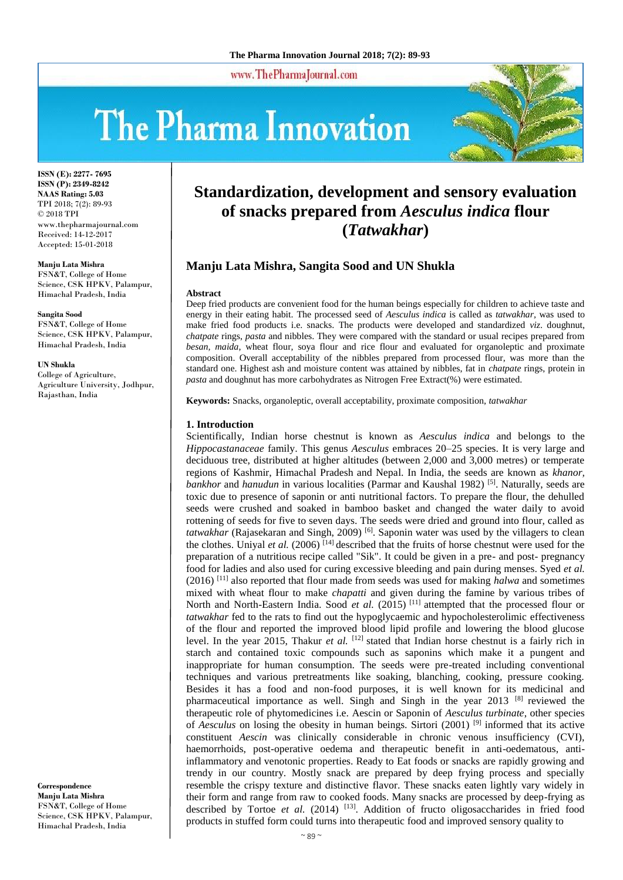www.ThePharmaJournal.com

# The Pharma Innovation



**ISSN (E): 2277- 7695 ISSN (P): 2349-8242 NAAS Rating: 5.03** TPI 2018; 7(2): 89-93 © 2018 TPI www.thepharmajournal.com Received: 14-12-2017 Accepted: 15-01-2018

**Manju Lata Mishra** FSN&T, College of Home

Science, CSK HPKV, Palampur, Himachal Pradesh, India

**Sangita Sood** FSN&T, College of Home Science, CSK HPKV, Palampur, Himachal Pradesh, India

**UN Shukla** College of Agriculture, Agriculture University, Jodhpur, Rajasthan, India

**Correspondence Manju Lata Mishra** FSN&T, College of Home Science, CSK HPKV, Palampur, Himachal Pradesh, India

# **Standardization, development and sensory evaluation of snacks prepared from** *Aesculus indica* **flour (***Tatwakhar***)**

# **Manju Lata Mishra, Sangita Sood and UN Shukla**

#### **Abstract**

Deep fried products are convenient food for the human beings especially for children to achieve taste and energy in their eating habit. The processed seed of *Aesculus indica* is called as *tatwakhar,* was used to make fried food products i.e. snacks. The products were developed and standardized *viz*. doughnut, *chatpate* rings, *pasta* and nibbles. They were compared with the standard or usual recipes prepared from *besan, maida*, wheat flour, soya flour and rice flour and evaluated for organoleptic and proximate composition. Overall acceptability of the nibbles prepared from processed flour, was more than the standard one. Highest ash and moisture content was attained by nibbles, fat in *chatpate* rings, protein in *pasta* and doughnut has more carbohydrates as Nitrogen Free Extract(%) were estimated.

**Keywords:** Snacks, organoleptic, overall acceptability, proximate composition, *tatwakhar*

#### **1. Introduction**

Scientifically, Indian horse chestnut is known as *Aesculus indica* and belongs to the *Hippocastanaceae* family. This genus *Aesculus* embraces 20–25 species. It is very large and deciduous tree, distributed at higher altitudes (between 2,000 and 3,000 metres) or temperate regions of Kashmir, Himachal Pradesh and Nepal. In India, the seeds are known as *khanor, bankhor* and *hanudun* in various localities (Parmar and Kaushal 1982)<sup>[5]</sup>. Naturally, seeds are toxic due to presence of saponin or anti nutritional factors. To prepare the flour, the dehulled seeds were crushed and soaked in bamboo basket and changed the water daily to avoid rottening of seeds for five to seven days. The seeds were dried and ground into flour, called as *tatwakhar* (Rajasekaran and Singh, 2009) [6]. Saponin water was used by the villagers to clean the clothes. Unival *et al.* (2006)  $^{[14]}$  described that the fruits of horse chestnut were used for the preparation of a nutritious recipe called "Sik". It could be given in a pre- and post- pregnancy food for ladies and also used for curing excessive bleeding and pain during menses. Syed *et al.* (2016) [11] also reported that flour made from seeds was used for making *halwa* and sometimes mixed with wheat flour to make *chapatti* and given during the famine by various tribes of North and North-Eastern India. Sood *et al.* (2015)<sup>[11]</sup> attempted that the processed flour or *tatwakhar* fed to the rats to find out the hypoglycaemic and hypocholesterolimic effectiveness of the flour and reported the improved blood lipid profile and lowering the blood glucose level. In the year 2015, Thakur *et al.* <sup>[12]</sup> stated that Indian horse chestnut is a fairly rich in starch and contained toxic compounds such as saponins which make it a pungent and inappropriate for human consumption. The seeds were pre-treated including conventional techniques and various pretreatments like soaking, blanching, cooking, pressure cooking. Besides it has a food and non-food purposes, it is well known for its medicinal and pharmaceutical importance as well. Singh and Singh in the year 2013 [8] reviewed the therapeutic role of phytomedicines i.e. Aescin or Saponin of *Aesculus turbinate*, other species of *Aesculus* on losing the obesity in human beings. Sirtori (2001) [9] informed that its active constituent *Aescin* was clinically considerable in chronic venous insufficiency (CVI), haemorrhoids, post-operative oedema and therapeutic benefit in anti-oedematous, antiinflammatory and venotonic properties. Ready to Eat foods or snacks are rapidly growing and trendy in our country. Mostly snack are prepared by deep frying process and specially resemble the crispy texture and distinctive flavor. These snacks eaten lightly vary widely in their form and range from raw to cooked foods. Many snacks are processed by deep-frying as described by Tortoe *et al.* (2014)  $^{[13]}$ . Addition of fructo oligosaccharides in fried food products in stuffed form could turns into therapeutic food and improved sensory quality to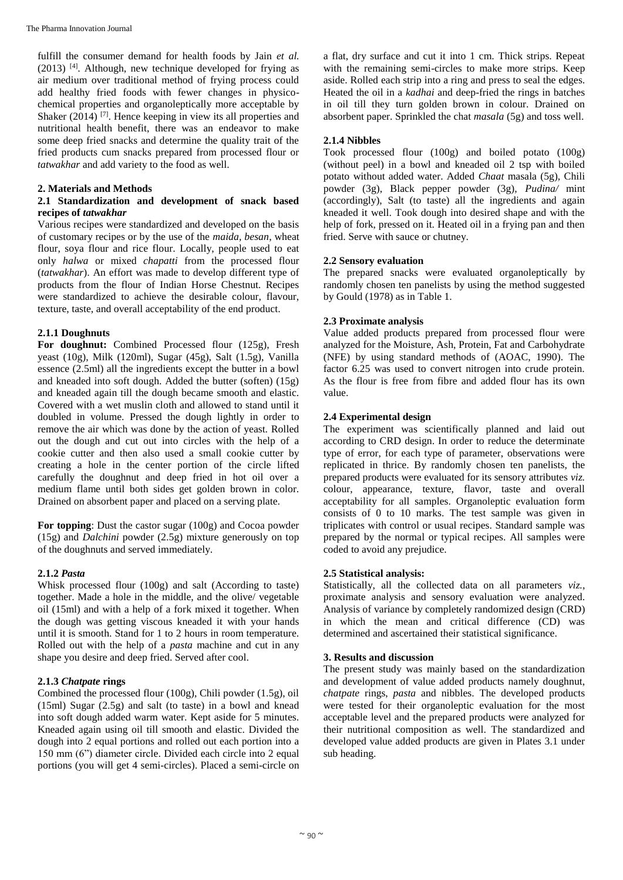fulfill the consumer demand for health foods by Jain *et al.*  $(2013)$  [4]. Although, new technique developed for frying as air medium over traditional method of frying process could add healthy fried foods with fewer changes in physicochemical properties and organoleptically more acceptable by Shaker  $(2014)$ <sup>[7]</sup>. Hence keeping in view its all properties and nutritional health benefit, there was an endeavor to make some deep fried snacks and determine the quality trait of the fried products cum snacks prepared from processed flour or *tatwakhar* and add variety to the food as well.

#### **2. Materials and Methods**

#### **2.1 Standardization and development of snack based recipes of** *tatwakhar*

Various recipes were standardized and developed on the basis of customary recipes or by the use of the *maida, besan*, wheat flour, soya flour and rice flour. Locally, people used to eat only *halwa* or mixed *chapatti* from the processed flour (*tatwakhar*). An effort was made to develop different type of products from the flour of Indian Horse Chestnut. Recipes were standardized to achieve the desirable colour, flavour, texture, taste, and overall acceptability of the end product.

#### **2.1.1 Doughnuts**

**For doughnut:** Combined Processed flour (125g), Fresh yeast (10g), Milk (120ml), Sugar (45g), Salt (1.5g), Vanilla essence (2.5ml) all the ingredients except the butter in a bowl and kneaded into soft dough. Added the butter (soften) (15g) and kneaded again till the dough became smooth and elastic. Covered with a wet muslin cloth and allowed to stand until it doubled in volume. Pressed the dough lightly in order to remove the air which was done by the action of yeast. Rolled out the dough and cut out into circles with the help of a cookie cutter and then also used a small cookie cutter by creating a hole in the center portion of the circle lifted carefully the doughnut and deep fried in hot oil over a medium flame until both sides get golden brown in color. Drained on absorbent paper and placed on a serving plate.

**For topping**: Dust the castor sugar (100g) and Cocoa powder (15g) and *Dalchini* powder (2.5g) mixture generously on top of the doughnuts and served immediately.

#### **2.1.2** *Pasta*

Whisk processed flour (100g) and salt (According to taste) together. Made a hole in the middle, and the olive/ vegetable oil (15ml) and with a help of a fork mixed it together. When the dough was getting viscous kneaded it with your hands until it is smooth. Stand for 1 to 2 hours in room temperature. Rolled out with the help of a *pasta* machine and cut in any shape you desire and deep fried. Served after cool.

# **2.1.3** *Chatpate* **rings**

Combined the processed flour (100g), Chili powder (1.5g), oil (15ml) Sugar (2.5g) and salt (to taste) in a bowl and knead into soft dough added warm water. Kept aside for 5 minutes. Kneaded again using oil till smooth and elastic. Divided the dough into 2 equal portions and rolled out each portion into a 150 mm (6") diameter circle. Divided each circle into 2 equal portions (you will get 4 semi-circles). Placed a semi-circle on

a flat, dry surface and cut it into 1 cm. Thick strips. Repeat with the remaining semi-circles to make more strips. Keep aside. Rolled each strip into a ring and press to seal the edges. Heated the oil in a *kadhai* and deep-fried the rings in batches in oil till they turn golden brown in colour. Drained on absorbent paper. Sprinkled the chat *masala* (5g) and toss well.

#### **2.1.4 Nibbles**

Took processed flour (100g) and boiled potato (100g) (without peel) in a bowl and kneaded oil 2 tsp with boiled potato without added water. Added *Chaat* masala (5g), Chili powder (3g), Black pepper powder (3g), *Pudina/* mint (accordingly), Salt (to taste) all the ingredients and again kneaded it well. Took dough into desired shape and with the help of fork, pressed on it. Heated oil in a frying pan and then fried. Serve with sauce or chutney.

#### **2.2 Sensory evaluation**

The prepared snacks were evaluated organoleptically by randomly chosen ten panelists by using the method suggested by Gould (1978) as in Table 1.

#### **2.3 Proximate analysis**

Value added products prepared from processed flour were analyzed for the Moisture, Ash, Protein, Fat and Carbohydrate (NFE) by using standard methods of (AOAC, 1990). The factor 6.25 was used to convert nitrogen into crude protein. As the flour is free from fibre and added flour has its own value.

#### **2.4 Experimental design**

The experiment was scientifically planned and laid out according to CRD design. In order to reduce the determinate type of error, for each type of parameter, observations were replicated in thrice. By randomly chosen ten panelists, the prepared products were evaluated for its sensory attributes *viz.* colour, appearance, texture, flavor, taste and overall acceptability for all samples. Organoleptic evaluation form consists of 0 to 10 marks. The test sample was given in triplicates with control or usual recipes. Standard sample was prepared by the normal or typical recipes. All samples were coded to avoid any prejudice.

#### **2.5 Statistical analysis:**

Statistically, all the collected data on all parameters *viz.,*  proximate analysis and sensory evaluation were analyzed. Analysis of variance by completely randomized design (CRD) in which the mean and critical difference (CD) was determined and ascertained their statistical significance.

#### **3. Results and discussion**

The present study was mainly based on the standardization and development of value added products namely doughnut, *chatpate* rings, *pasta* and nibbles. The developed products were tested for their organoleptic evaluation for the most acceptable level and the prepared products were analyzed for their nutritional composition as well. The standardized and developed value added products are given in Plates 3.1 under sub heading.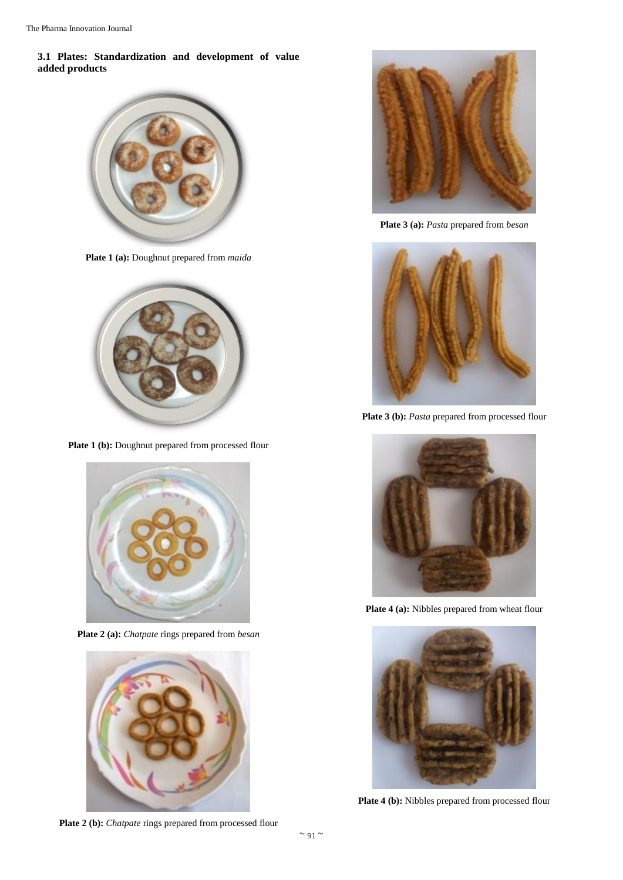# **3.1 Plates: Standardization and development of value added products**



**Plate 1 (a):** Doughnut prepared from *maida*



Plate 1 (b): Doughnut prepared from processed flour



**Plate 2 (a):** *Chatpate* rings prepared from *besan*



**Plate 2 (b):** *Chatpate* rings prepared from processed flour



**Plate 3 (a):** *Pasta* prepared from *besan*



Plate 3 (b): Pasta prepared from processed flour



Plate 4 (a): Nibbles prepared from wheat flour



**Plate 4 (b):** Nibbles prepared from processed flour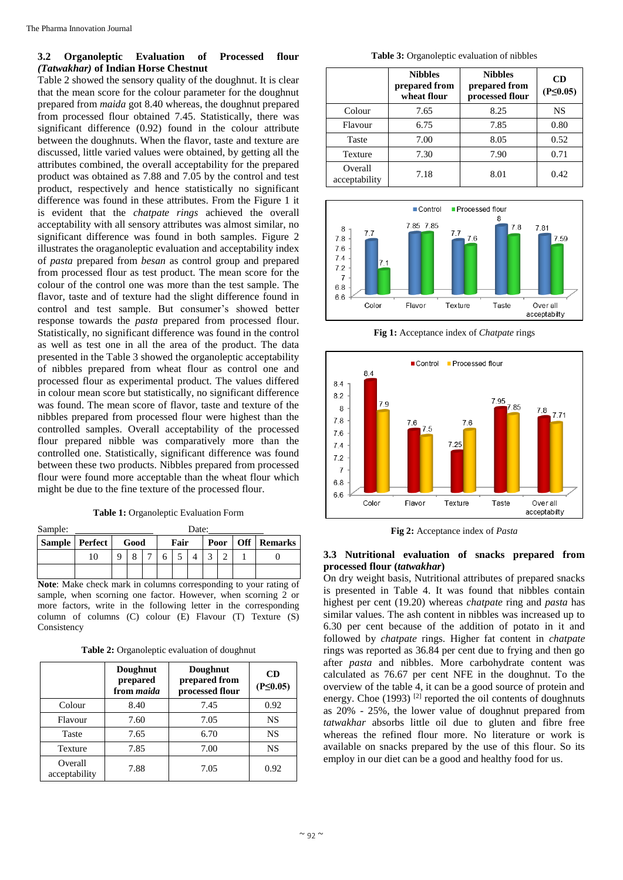#### **3.2 Organoleptic Evaluation of Processed flour**  *(Tatwakhar)* **of Indian Horse Chestnut**

Table 2 showed the sensory quality of the doughnut. It is clear that the mean score for the colour parameter for the doughnut prepared from *maida* got 8.40 whereas, the doughnut prepared from processed flour obtained 7.45. Statistically, there was significant difference (0.92) found in the colour attribute between the doughnuts. When the flavor, taste and texture are discussed, little varied values were obtained, by getting all the attributes combined, the overall acceptability for the prepared product was obtained as 7.88 and 7.05 by the control and test product, respectively and hence statistically no significant difference was found in these attributes. From the Figure 1 it is evident that the *chatpate rings* achieved the overall acceptability with all sensory attributes was almost similar, no significant difference was found in both samples. Figure 2 illustrates the oraganoleptic evaluation and acceptability index of *pasta* prepared from *besan* as control group and prepared from processed flour as test product. The mean score for the colour of the control one was more than the test sample. The flavor, taste and of texture had the slight difference found in control and test sample. But consumer's showed better response towards the *pasta* prepared from processed flour. Statistically, no significant difference was found in the control as well as test one in all the area of the product. The data presented in the Table 3 showed the organoleptic acceptability of nibbles prepared from wheat flour as control one and processed flour as experimental product. The values differed in colour mean score but statistically, no significant difference was found. The mean score of flavor, taste and texture of the nibbles prepared from processed flour were highest than the controlled samples. Overall acceptability of the processed flour prepared nibble was comparatively more than the controlled one. Statistically, significant difference was found between these two products. Nibbles prepared from processed flour were found more acceptable than the wheat flour which might be due to the fine texture of the processed flour.

**Table 1:** Organoleptic Evaluation Form

| Sample: |                  |      |                | Date: |      |  |  |      |  |                    |
|---------|------------------|------|----------------|-------|------|--|--|------|--|--------------------|
|         | Sample   Perfect | Good |                |       | Fair |  |  | Poor |  | <b>Off</b> Remarks |
|         | 10               |      | $\overline{ }$ |       |      |  |  |      |  |                    |
|         |                  |      |                |       |      |  |  |      |  |                    |

**Note**: Make check mark in columns corresponding to your rating of sample, when scorning one factor. However, when scorning 2 or more factors, write in the following letter in the corresponding column of columns (C) colour (E) Flavour (T) Texture (S) Consistency

**Table 2:** Organoleptic evaluation of doughnut

|                          | Doughnut<br>prepared<br>from maida | Doughnut<br>prepared from<br>processed flour | <b>CD</b><br>$(P \le 0.05)$ |
|--------------------------|------------------------------------|----------------------------------------------|-----------------------------|
| Colour                   | 8.40                               | 7.45                                         | 0.92                        |
| Flavour                  | 7.60                               | 7.05                                         | <b>NS</b>                   |
| Taste                    | 7.65                               | 6.70                                         | <b>NS</b>                   |
| Texture                  | 7.85                               | 7.00                                         | <b>NS</b>                   |
| Overall<br>acceptability | 7.88                               | 7.05                                         | 0.92                        |

**Table 3:** Organoleptic evaluation of nibbles

|                          | <b>Nibbles</b><br>prepared from<br>wheat flour | <b>Nibbles</b><br>prepared from<br>processed flour | CD<br>$(P \le 0.05)$ |
|--------------------------|------------------------------------------------|----------------------------------------------------|----------------------|
| Colour                   | 7.65                                           | 8.25                                               | NS                   |
| Flavour                  | 6.75                                           | 7.85                                               | 0.80                 |
| Taste                    | 7.00                                           | 8.05                                               | 0.52                 |
| Texture                  | 7.30                                           | 7.90                                               | 0.71                 |
| Overall<br>acceptability | 7.18                                           | 8.01                                               | 0.42                 |



**Fig 1:** Acceptance index of *Chatpate* rings



**Fig 2:** Acceptance index of *Pasta*

# **3.3 Nutritional evaluation of snacks prepared from processed flour (***tatwakhar***)**

On dry weight basis, Nutritional attributes of prepared snacks is presented in Table 4. It was found that nibbles contain highest per cent (19.20) whereas *chatpate* ring and *pasta* has similar values. The ash content in nibbles was increased up to 6.30 per cent because of the addition of potato in it and followed by *chatpate* rings. Higher fat content in *chatpate* rings was reported as 36.84 per cent due to frying and then go after *pasta* and nibbles. More carbohydrate content was calculated as 76.67 per cent NFE in the doughnut. To the overview of the table 4, it can be a good source of protein and energy. Choe  $(1993)$ <sup>[2]</sup> reported the oil contents of doughnuts as 20% - 25%, the lower value of doughnut prepared from *tatwakhar* absorbs little oil due to gluten and fibre free whereas the refined flour more. No literature or work is available on snacks prepared by the use of this flour. So its employ in our diet can be a good and healthy food for us.